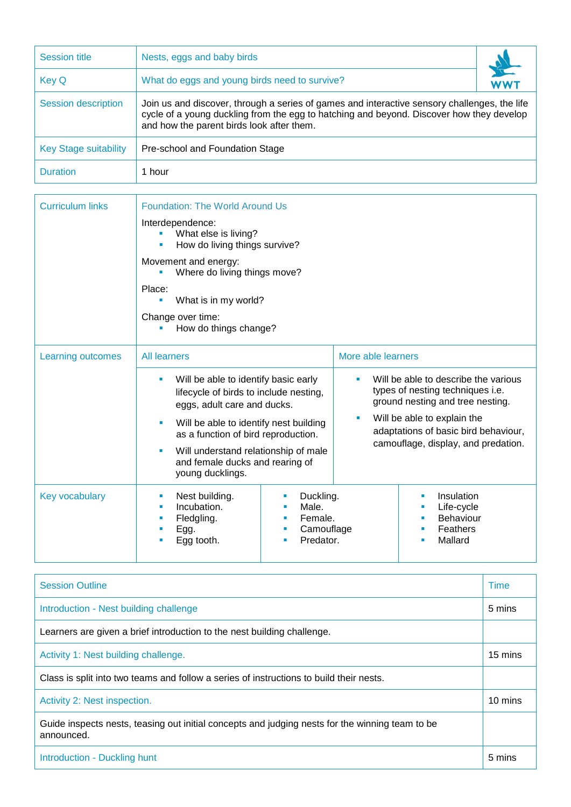| <b>Session title</b>         | Nests, eggs and baby birds                                                                                                                                                                                                            |  |  |  |
|------------------------------|---------------------------------------------------------------------------------------------------------------------------------------------------------------------------------------------------------------------------------------|--|--|--|
| <b>Key Q</b>                 | What do eggs and young birds need to survive?                                                                                                                                                                                         |  |  |  |
| <b>Session description</b>   | Join us and discover, through a series of games and interactive sensory challenges, the life<br>cycle of a young duckling from the egg to hatching and beyond. Discover how they develop<br>and how the parent birds look after them. |  |  |  |
| <b>Key Stage suitability</b> | Pre-school and Foundation Stage                                                                                                                                                                                                       |  |  |  |
| <b>Duration</b>              | 1 hour                                                                                                                                                                                                                                |  |  |  |

| <b>Curriculum links</b> | <b>Foundation: The World Around Us</b>                                                                                                                                                                                                                                                             |                                                                              |                    |                                                                                                                                                                                                                            |  |  |  |
|-------------------------|----------------------------------------------------------------------------------------------------------------------------------------------------------------------------------------------------------------------------------------------------------------------------------------------------|------------------------------------------------------------------------------|--------------------|----------------------------------------------------------------------------------------------------------------------------------------------------------------------------------------------------------------------------|--|--|--|
|                         | Interdependence:<br>What else is living?<br>How do living things survive?                                                                                                                                                                                                                          |                                                                              |                    |                                                                                                                                                                                                                            |  |  |  |
|                         | Movement and energy:<br>Where do living things move?                                                                                                                                                                                                                                               |                                                                              |                    |                                                                                                                                                                                                                            |  |  |  |
|                         | Place:<br>What is in my world?<br>ш                                                                                                                                                                                                                                                                |                                                                              |                    |                                                                                                                                                                                                                            |  |  |  |
|                         | Change over time:<br>How do things change?                                                                                                                                                                                                                                                         |                                                                              |                    |                                                                                                                                                                                                                            |  |  |  |
| Learning outcomes       | <b>All learners</b>                                                                                                                                                                                                                                                                                |                                                                              | More able learners |                                                                                                                                                                                                                            |  |  |  |
|                         | Will be able to identify basic early<br>×<br>lifecycle of birds to include nesting,<br>eggs, adult care and ducks.<br>Will be able to identify nest building<br>as a function of bird reproduction.<br>Will understand relationship of male<br>and female ducks and rearing of<br>young ducklings. |                                                                              | ٠<br>ш             | Will be able to describe the various<br>types of nesting techniques i.e.<br>ground nesting and tree nesting.<br>Will be able to explain the<br>adaptations of basic bird behaviour,<br>camouflage, display, and predation. |  |  |  |
| Key vocabulary          | Nest building.<br>ш<br>Incubation.<br>п<br>Fledgling.<br>ш<br>Egg.<br>Egg tooth.                                                                                                                                                                                                                   | Duckling.<br>ш<br>Male.<br>п<br>Female.<br>п<br>Camouflage<br>×<br>Predator. |                    | Insulation<br>×<br>Life-cycle<br>Behaviour<br>Feathers<br>×<br>Mallard<br>٠                                                                                                                                                |  |  |  |

| <b>Session Outline</b>                                                                                        | Time    |  |
|---------------------------------------------------------------------------------------------------------------|---------|--|
| Introduction - Nest building challenge                                                                        | 5 mins  |  |
| Learners are given a brief introduction to the nest building challenge.                                       |         |  |
| Activity 1: Nest building challenge.                                                                          | 15 mins |  |
| Class is split into two teams and follow a series of instructions to build their nests.                       |         |  |
| Activity 2: Nest inspection.                                                                                  | 10 mins |  |
| Guide inspects nests, teasing out initial concepts and judging nests for the winning team to be<br>announced. |         |  |
| Introduction - Duckling hunt                                                                                  | 5 mins  |  |